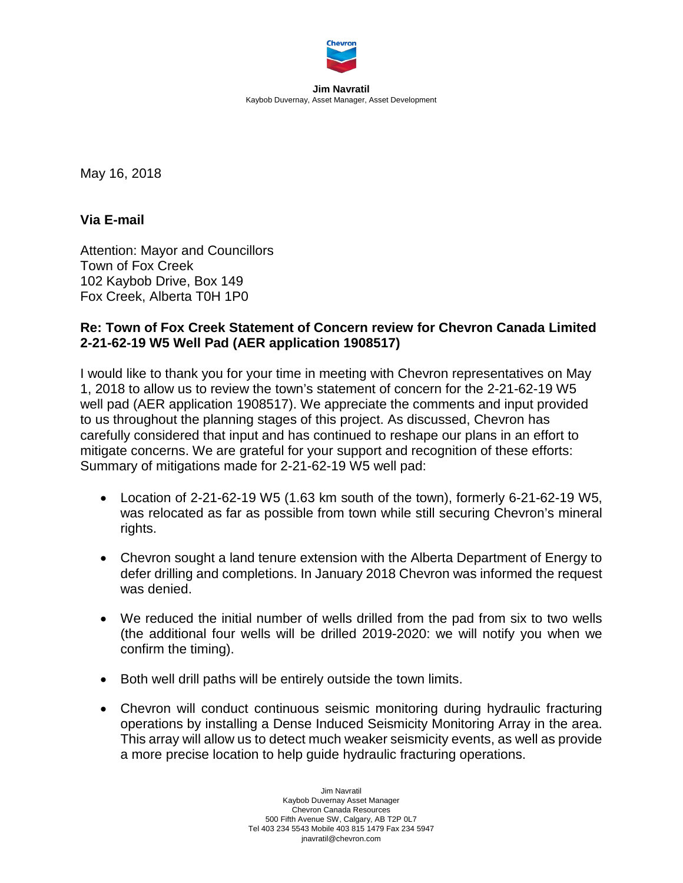

**Jim Navratil** Kaybob Duvernay, Asset Manager, Asset Development

May 16, 2018

**Via E-mail**

Attention: Mayor and Councillors Town of Fox Creek 102 Kaybob Drive, Box 149 Fox Creek, Alberta T0H 1P0

## **Re: Town of Fox Creek Statement of Concern review for Chevron Canada Limited 2-21-62-19 W5 Well Pad (AER application 1908517)**

I would like to thank you for your time in meeting with Chevron representatives on May 1, 2018 to allow us to review the town's statement of concern for the 2-21-62-19 W5 well pad (AER application 1908517). We appreciate the comments and input provided to us throughout the planning stages of this project. As discussed, Chevron has carefully considered that input and has continued to reshape our plans in an effort to mitigate concerns. We are grateful for your support and recognition of these efforts: Summary of mitigations made for 2-21-62-19 W5 well pad:

- Location of 2-21-62-19 W5 (1.63 km south of the town), formerly 6-21-62-19 W5, was relocated as far as possible from town while still securing Chevron's mineral rights.
- Chevron sought a land tenure extension with the Alberta Department of Energy to defer drilling and completions. In January 2018 Chevron was informed the request was denied.
- We reduced the initial number of wells drilled from the pad from six to two wells (the additional four wells will be drilled 2019-2020: we will notify you when we confirm the timing).
- Both well drill paths will be entirely outside the town limits.
- Chevron will conduct continuous seismic monitoring during hydraulic fracturing operations by installing a Dense Induced Seismicity Monitoring Array in the area. This array will allow us to detect much weaker seismicity events, as well as provide a more precise location to help guide hydraulic fracturing operations.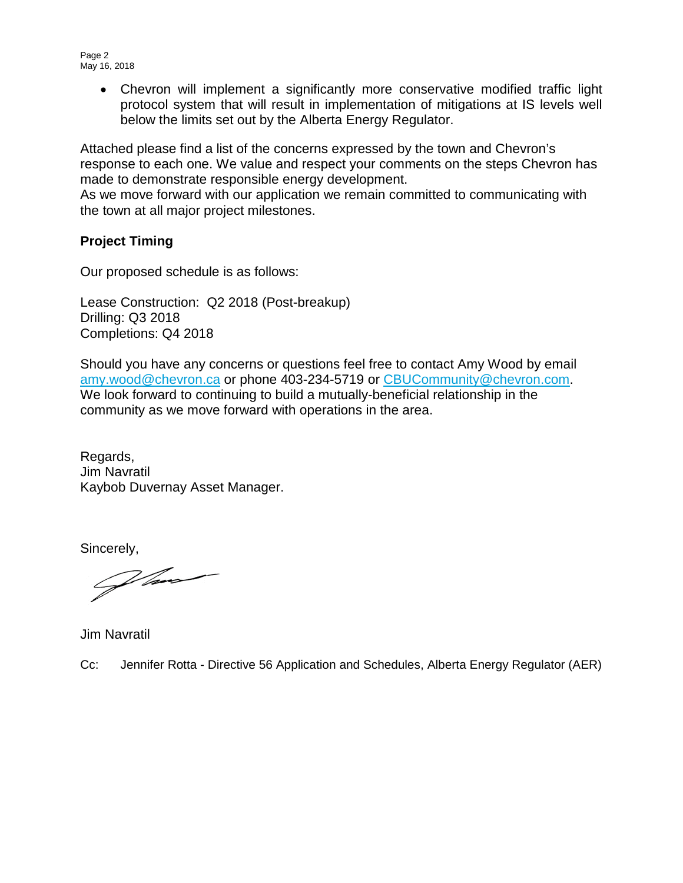Page 2 May 16, 2018

> • Chevron will implement a significantly more conservative modified traffic light protocol system that will result in implementation of mitigations at IS levels well below the limits set out by the Alberta Energy Regulator.

Attached please find a list of the concerns expressed by the town and Chevron's response to each one. We value and respect your comments on the steps Chevron has made to demonstrate responsible energy development.

As we move forward with our application we remain committed to communicating with the town at all major project milestones.

## **Project Timing**

Our proposed schedule is as follows:

Lease Construction: Q2 2018 (Post-breakup) Drilling: Q3 2018 Completions: Q4 2018

Should you have any concerns or questions feel free to contact Amy Wood by email [amy.wood@chevron.ca](mailto:amy.wood@chevron.ca) or phone 403-234-5719 or [CBUCommunity@chevron.com.](mailto:CBUCommunity@chevron.com) We look forward to continuing to build a mutually-beneficial relationship in the community as we move forward with operations in the area.

Regards, Jim Navratil Kaybob Duvernay Asset Manager.

Sincerely,  $\mathcal{L}$ 

Jim Navratil

Cc: Jennifer Rotta - Directive 56 Application and Schedules, Alberta Energy Regulator (AER)